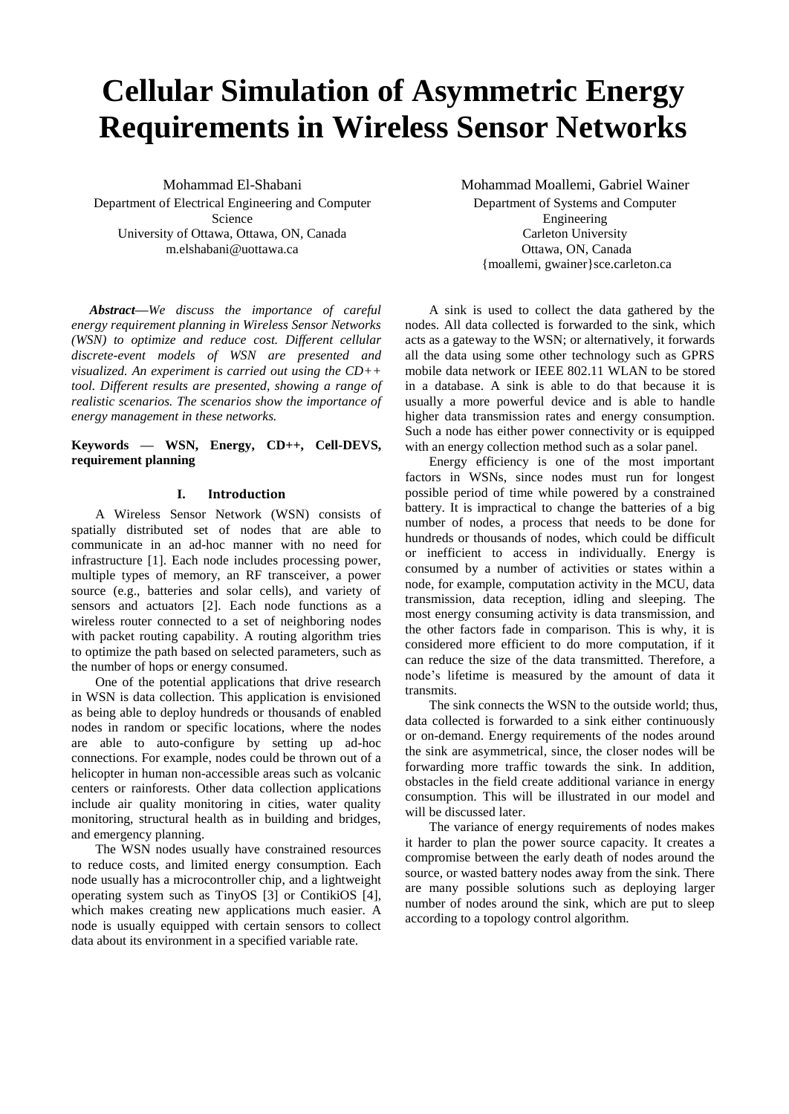# **Cellular Simulation of Asymmetric Energy Requirements in Wireless Sensor Networks**

Mohammad El-Shabani Department of Electrical Engineering and Computer Science University of Ottawa, Ottawa, ON, Canada m.elshabani@uottawa.ca

*Abstract***—***We discuss the importance of careful energy requirement planning in Wireless Sensor Networks (WSN) to optimize and reduce cost. Different cellular discrete-event models of WSN are presented and visualized. An experiment is carried out using the CD++ tool. Different results are presented, showing a range of realistic scenarios. The scenarios show the importance of energy management in these networks.* 

**Keywords — WSN, Energy, CD++, Cell-DEVS, requirement planning**

## **I. Introduction**

A Wireless Sensor Network (WSN) consists of spatially distributed set of nodes that are able to communicate in an ad-hoc manner with no need for infrastructure [\[1\].](#page-6-0) Each node includes processing power, multiple types of memory, an RF transceiver, a power source (e.g., batteries and solar cells), and variety of sensors and actuators [\[2\].](#page-6-1) Each node functions as a wireless router connected to a set of neighboring nodes with packet routing capability. A routing algorithm tries to optimize the path based on selected parameters, such as the number of hops or energy consumed.

One of the potential applications that drive research in WSN is data collection. This application is envisioned as being able to deploy hundreds or thousands of enabled nodes in random or specific locations, where the nodes are able to auto-configure by setting up ad-hoc connections. For example, nodes could be thrown out of a helicopter in human non-accessible areas such as volcanic centers or rainforests. Other data collection applications include air quality monitoring in cities, water quality monitoring, structural health as in building and bridges, and emergency planning.

The WSN nodes usually have constrained resources to reduce costs, and limited energy consumption. Each node usually has a microcontroller chip, and a lightweight operating system such as TinyOS [\[3\]](#page-6-2) or ContikiOS [\[4\],](#page-6-3) which makes creating new applications much easier. A node is usually equipped with certain sensors to collect data about its environment in a specified variable rate.

Mohammad Moallemi, Gabriel Wainer Department of Systems and Computer Engineering Carleton University Ottawa, ON, Canada {moallemi, gwainer}sce.carleton.ca

A sink is used to collect the data gathered by the nodes. All data collected is forwarded to the sink, which acts as a gateway to the WSN; or alternatively, it forwards all the data using some other technology such as GPRS mobile data network or IEEE 802.11 WLAN to be stored in a database. A sink is able to do that because it is usually a more powerful device and is able to handle higher data transmission rates and energy consumption. Such a node has either power connectivity or is equipped with an energy collection method such as a solar panel.

Energy efficiency is one of the most important factors in WSNs, since nodes must run for longest possible period of time while powered by a constrained battery. It is impractical to change the batteries of a big number of nodes, a process that needs to be done for hundreds or thousands of nodes, which could be difficult or inefficient to access in individually. Energy is consumed by a number of activities or states within a node, for example, computation activity in the MCU, data transmission, data reception, idling and sleeping. The most energy consuming activity is data transmission, and the other factors fade in comparison. This is why, it is considered more efficient to do more computation, if it can reduce the size of the data transmitted. Therefore, a node's lifetime is measured by the amount of data it transmits.

The sink connects the WSN to the outside world; thus, data collected is forwarded to a sink either continuously or on-demand. Energy requirements of the nodes around the sink are asymmetrical, since, the closer nodes will be forwarding more traffic towards the sink. In addition, obstacles in the field create additional variance in energy consumption. This will be illustrated in our model and will be discussed later.

The variance of energy requirements of nodes makes it harder to plan the power source capacity. It creates a compromise between the early death of nodes around the source, or wasted battery nodes away from the sink. There are many possible solutions such as deploying larger number of nodes around the sink, which are put to sleep according to a topology control algorithm.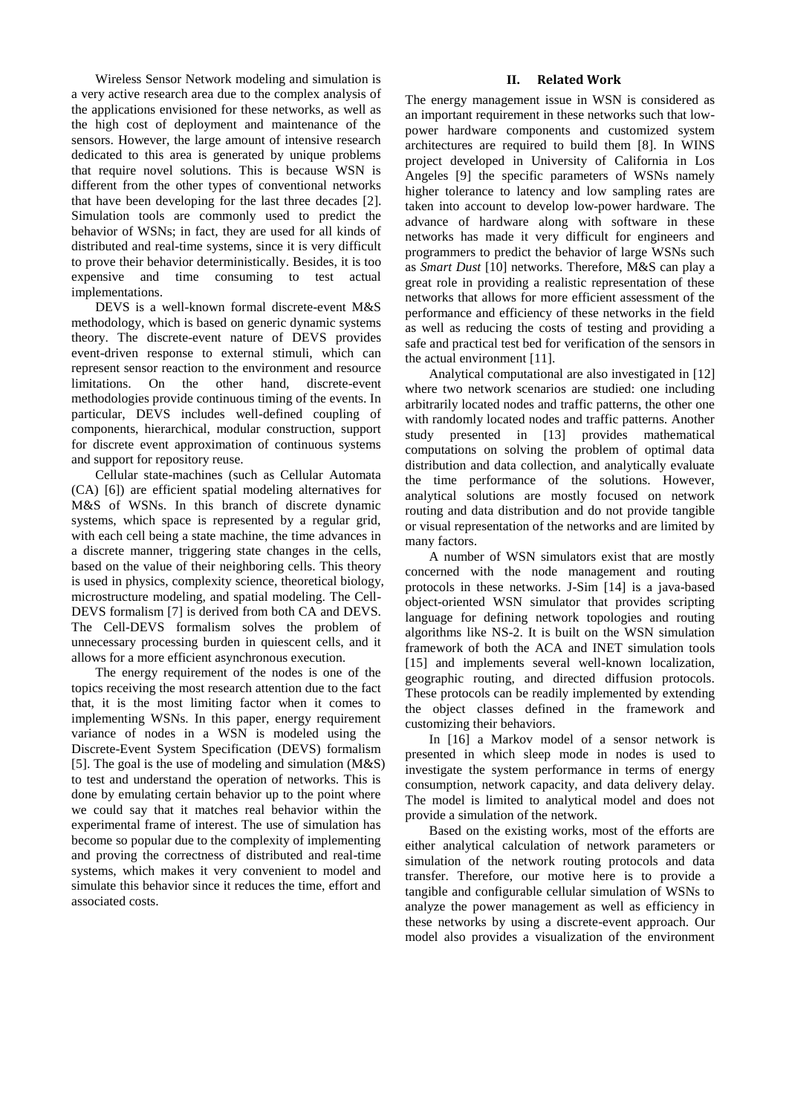Wireless Sensor Network modeling and simulation is a very active research area due to the complex analysis of the applications envisioned for these networks, as well as the high cost of deployment and maintenance of the sensors. However, the large amount of intensive research dedicated to this area is generated by unique problems that require novel solutions. This is because WSN is different from the other types of conventional networks that have been developing for the last three decades [\[2\].](#page-6-1) Simulation tools are commonly used to predict the behavior of WSNs; in fact, they are used for all kinds of distributed and real-time systems, since it is very difficult to prove their behavior deterministically. Besides, it is too expensive and time consuming to test actual implementations.

DEVS is a well-known formal discrete-event M&S methodology, which is based on generic dynamic systems theory. The discrete-event nature of DEVS provides event-driven response to external stimuli, which can represent sensor reaction to the environment and resource limitations. On the other hand, discrete-event methodologies provide continuous timing of the events. In particular, DEVS includes well-defined coupling of components, hierarchical, modular construction, support for discrete event approximation of continuous systems and support for repository reuse.

Cellular state-machines (such as Cellular Automata (CA) [\[6\]\)](#page-6-4) are efficient spatial modeling alternatives for M&S of WSNs. In this branch of discrete dynamic systems, which space is represented by a regular grid, with each cell being a state machine, the time advances in a discrete manner, triggering state changes in the cells, based on the value of their neighboring cells. This theory is used in physics, complexity science, theoretical biology, microstructure modeling, and spatial modeling. The Cell-DEVS formalism [\[7\]](#page-6-5) is derived from both CA and DEVS. The Cell-DEVS formalism solves the problem of unnecessary processing burden in quiescent cells, and it allows for a more efficient asynchronous execution.

The energy requirement of the nodes is one of the topics receiving the most research attention due to the fact that, it is the most limiting factor when it comes to implementing WSNs. In this paper, energy requirement variance of nodes in a WSN is modeled using the Discrete-Event System Specification (DEVS) formalism [\[5\].](#page-6-6) The goal is the use of modeling and simulation (M&S) to test and understand the operation of networks. This is done by emulating certain behavior up to the point where we could say that it matches real behavior within the experimental frame of interest. The use of simulation has become so popular due to the complexity of implementing and proving the correctness of distributed and real-time systems, which makes it very convenient to model and simulate this behavior since it reduces the time, effort and associated costs.

# **II. Related Work**

The energy management issue in WSN is considered as an important requirement in these networks such that lowpower hardware components and customized system architectures are required to build them [\[8\].](#page-6-7) In WINS project developed in University of California in Los Angeles [\[9\]](#page-6-8) the specific parameters of WSNs namely higher tolerance to latency and low sampling rates are taken into account to develop low-power hardware. The advance of hardware along with software in these networks has made it very difficult for engineers and programmers to predict the behavior of large WSNs such as *Smart Dust* [\[10\]](#page-6-9) networks. Therefore, M&S can play a great role in providing a realistic representation of these networks that allows for more efficient assessment of the performance and efficiency of these networks in the field as well as reducing the costs of testing and providing a safe and practical test bed for verification of the sensors in the actual environment [\[11\].](#page-6-10)

Analytical computational are also investigated in [\[12\]](#page-6-11) where two network scenarios are studied: one including arbitrarily located nodes and traffic patterns, the other one with randomly located nodes and traffic patterns. Another study presented in [\[13\]](#page-6-12) provides mathematical computations on solving the problem of optimal data distribution and data collection, and analytically evaluate the time performance of the solutions. However, analytical solutions are mostly focused on network routing and data distribution and do not provide tangible or visual representation of the networks and are limited by many factors.

A number of WSN simulators exist that are mostly concerned with the node management and routing protocols in these networks. J-Sim [\[14\]](#page-6-13) is a java-based object-oriented WSN simulator that provides scripting language for defining network topologies and routing algorithms like NS-2. It is built on the WSN simulation framework of both the ACA and INET simulation tools [\[15\]](#page-6-14) and implements several well-known localization, geographic routing, and directed diffusion protocols. These protocols can be readily implemented by extending the object classes defined in the framework and customizing their behaviors.

In [\[16\]](#page-6-15) a Markov model of a sensor network is presented in which sleep mode in nodes is used to investigate the system performance in terms of energy consumption, network capacity, and data delivery delay. The model is limited to analytical model and does not provide a simulation of the network.

Based on the existing works, most of the efforts are either analytical calculation of network parameters or simulation of the network routing protocols and data transfer. Therefore, our motive here is to provide a tangible and configurable cellular simulation of WSNs to analyze the power management as well as efficiency in these networks by using a discrete-event approach. Our model also provides a visualization of the environment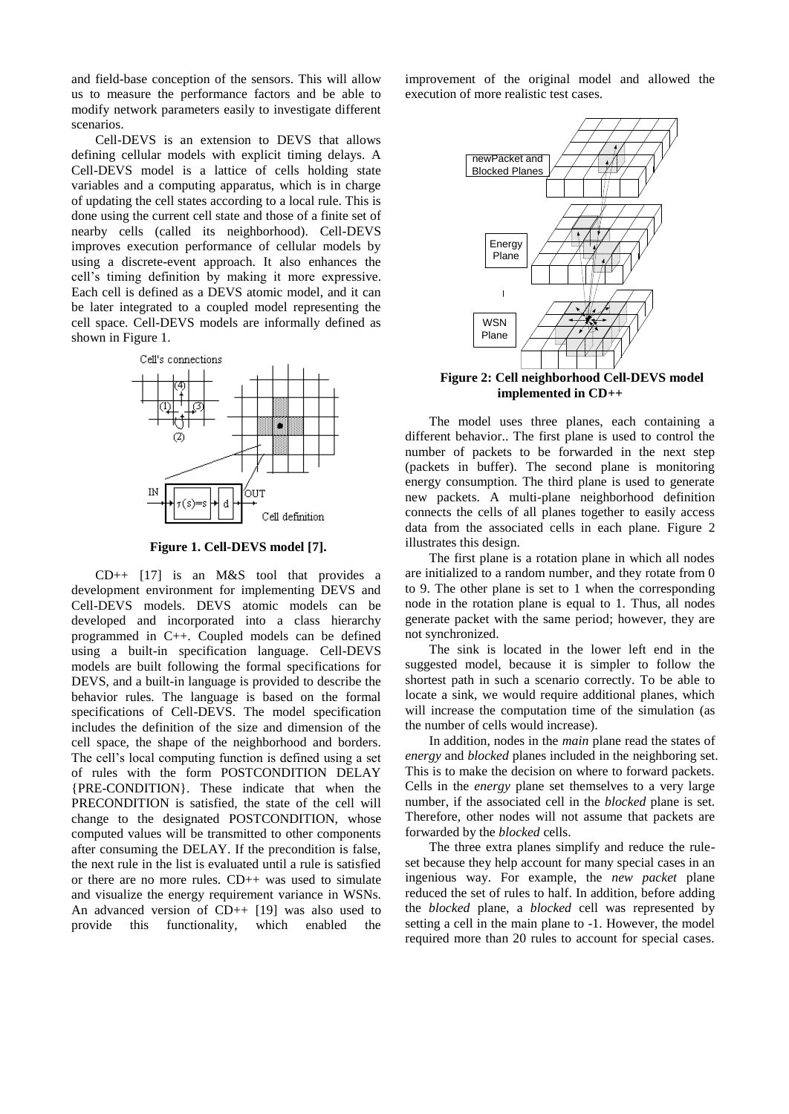and field-base conception of the sensors. This will allow us to measure the performance factors and be able to modify network parameters easily to investigate different scenarios.

Cell-DEVS is an extension to DEVS that allows defining cellular models with explicit timing delays. A Cell-DEVS model is a lattice of cells holding state variables and a computing apparatus, which is in charge of updating the cell states according to a local rule. This is done using the current cell state and those of a finite set of nearby cells (called its neighborhood). Cell-DEVS improves execution performance of cellular models by using a discrete-event approach. It also enhances the cell's timing definition by making it more expressive. Each cell is defined as a DEVS atomic model, and it can be later integrated to a coupled model representing the cell space. Cell-DEVS models are informally defined as shown in [Figure 1.](#page-2-0)



**Figure 1. Cell-DEVS model [\[7\].](#page-6-5)**

<span id="page-2-0"></span>CD++ [\[17\]](#page-6-16) is an M&S tool that provides a development environment for implementing DEVS and Cell-DEVS models. DEVS atomic models can be developed and incorporated into a class hierarchy programmed in C++. Coupled models can be defined using a built-in specification language. Cell-DEVS models are built following the formal specifications for DEVS, and a built-in language is provided to describe the behavior rules. The language is based on the formal specifications of Cell-DEVS. The model specification includes the definition of the size and dimension of the cell space, the shape of the neighborhood and borders. The cell's local computing function is defined using a set of rules with the form POSTCONDITION DELAY {PRE-CONDITION}. These indicate that when the PRECONDITION is satisfied, the state of the cell will change to the designated POSTCONDITION, whose computed values will be transmitted to other components after consuming the DELAY. If the precondition is false, the next rule in the list is evaluated until a rule is satisfied or there are no more rules. CD++ was used to simulate and visualize the energy requirement variance in WSNs. An advanced version of CD++ [\[19\]](#page-6-17) was also used to provide this functionality, which enabled the

improvement of the original model and allowed the execution of more realistic test cases.



<span id="page-2-1"></span>**Figure 2: Cell neighborhood Cell-DEVS model implemented in CD++** 

The model uses three planes, each containing a different behavior.. The first plane is used to control the number of packets to be forwarded in the next step (packets in buffer). The second plane is monitoring energy consumption. The third plane is used to generate new packets. A multi-plane neighborhood definition connects the cells of all planes together to easily access data from the associated cells in each plane. [Figure 2](#page-2-1) illustrates this design.

The first plane is a rotation plane in which all nodes are initialized to a random number, and they rotate from 0 to 9. The other plane is set to 1 when the corresponding node in the rotation plane is equal to 1. Thus, all nodes generate packet with the same period; however, they are not synchronized.

The sink is located in the lower left end in the suggested model, because it is simpler to follow the shortest path in such a scenario correctly. To be able to locate a sink, we would require additional planes, which will increase the computation time of the simulation (as the number of cells would increase).

In addition, nodes in the *main* plane read the states of *energy* and *blocked* planes included in the neighboring set. This is to make the decision on where to forward packets. Cells in the *energy* plane set themselves to a very large number, if the associated cell in the *blocked* plane is set. Therefore, other nodes will not assume that packets are forwarded by the *blocked* cells.

The three extra planes simplify and reduce the ruleset because they help account for many special cases in an ingenious way. For example, the *new packet* plane reduced the set of rules to half. In addition, before adding the *blocked* plane, a *blocked* cell was represented by setting a cell in the main plane to -1. However, the model required more than 20 rules to account for special cases.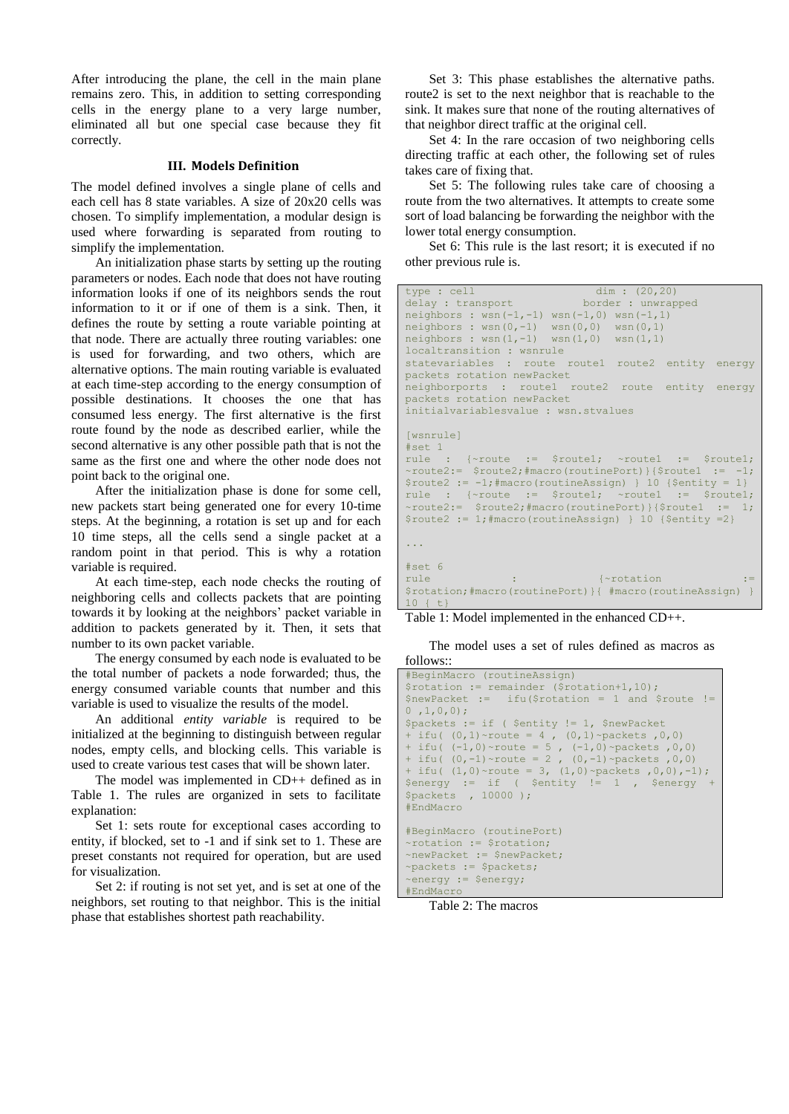After introducing the plane, the cell in the main plane remains zero. This, in addition to setting corresponding cells in the energy plane to a very large number, eliminated all but one special case because they fit correctly.

#### **III. Models Definition**

The model defined involves a single plane of cells and each cell has 8 state variables. A size of 20x20 cells was chosen. To simplify implementation, a modular design is used where forwarding is separated from routing to simplify the implementation.

An initialization phase starts by setting up the routing parameters or nodes. Each node that does not have routing information looks if one of its neighbors sends the rout information to it or if one of them is a sink. Then, it defines the route by setting a route variable pointing at that node. There are actually three routing variables: one is used for forwarding, and two others, which are alternative options. The main routing variable is evaluated at each time-step according to the energy consumption of possible destinations. It chooses the one that has consumed less energy. The first alternative is the first route found by the node as described earlier, while the second alternative is any other possible path that is not the same as the first one and where the other node does not point back to the original one.

After the initialization phase is done for some cell, new packets start being generated one for every 10-time steps. At the beginning, a rotation is set up and for each 10 time steps, all the cells send a single packet at a random point in that period. This is why a rotation variable is required.

At each time-step, each node checks the routing of neighboring cells and collects packets that are pointing towards it by looking at the neighbors' packet variable in addition to packets generated by it. Then, it sets that number to its own packet variable.

The energy consumed by each node is evaluated to be the total number of packets a node forwarded; thus, the energy consumed variable counts that number and this variable is used to visualize the results of the model.

An additional *entity variable* is required to be initialized at the beginning to distinguish between regular nodes, empty cells, and blocking cells. This variable is used to create various test cases that will be shown later.

The model was implemented in CD++ defined as in Table 1. The rules are organized in sets to facilitate explanation:

Set 1: sets route for exceptional cases according to entity, if blocked, set to -1 and if sink set to 1. These are preset constants not required for operation, but are used for visualization.

Set 2: if routing is not set yet, and is set at one of the neighbors, set routing to that neighbor. This is the initial phase that establishes shortest path reachability.

Set 3: This phase establishes the alternative paths. route2 is set to the next neighbor that is reachable to the sink. It makes sure that none of the routing alternatives of that neighbor direct traffic at the original cell.

Set 4: In the rare occasion of two neighboring cells directing traffic at each other, the following set of rules takes care of fixing that.

Set 5: The following rules take care of choosing a route from the two alternatives. It attempts to create some sort of load balancing be forwarding the neighbor with the lower total energy consumption.

Set 6: This rule is the last resort; it is executed if no other previous rule is.

```
type : cell dim : (20,20)
delay : transport border : unwrapped
neighbors : wsn(-1,-1) wsn(-1,0) wsn(-1,1)<br>neighbors : wsn(0,-1) wsn(0,0) wsn(0,1)neighbors : wsn(0,-1) wsn(0,0) wsn(0,1)neighbors : wsn(1,-1) wsn(1,0) wsn(1,1)localtransition : wsnrule
statevariables : route route1 route2 entity energy 
packets rotation newPacket
neighborports : route1 route2 route entity energy
packets rotation newPacket
initialvariablesvalue : wsn.stvalues
[wsnrule]
#set 1
rule : {~route := $route1; ~route1 := $route1; 
~route2:= $route2;#macro(routinePort)}{$route1 := -1; 
$route2 := -1; #macro(routineAssign) } 10 {$entity = 1}
rule : {~route := $route1; ~route1 := $route1;
~route2:= $route2;#macro(routinePort)}{$route1 := 1; 
$route2 := 1;#macro(routineAssign) } 10 {$entity =2}
...
#set 6
rule : \cdot : \cdot : \cdot : \cdot : \cdot : \cdot : \cdot :
$rotation;#macro(routinePort)}{ #macro(routineAssign) } 
10 { t}
```
Table 1: Model implemented in the enhanced CD++.

The model uses a set of rules defined as macros as follows::

```
#BeginMacro (routineAssign)
$rotation := remainder ($rotation+1,10); 
SnewPacket := ifu(Srotation = 1 and Sroute !=0, 1, 0, 0);$packets := if ( $entity != 1, $newPacket 
 ifu( (0,1) ~route = 4, (0,1) ~packets, 0,0)
+ ifu( (-1,0) -route = 5, (-1,0) -packets, 0,0)
+ ifu( (0,-1) \sim route = 2, (0,-1) \sim packets, 0,0)
+ ifu( (1,0) -route = 3, (1,0) -packets , 0, 0), -1);
$energy := if ( $entity != 1, $energy +
$packets , 10000 );
#EndMacro
#BeginMacro (routinePort)
~rotation := $rotation;
~newPacket := $newPacket;
~packets := $packets;
~energy := $energy;
#EndMacro
```
Table 2: The macros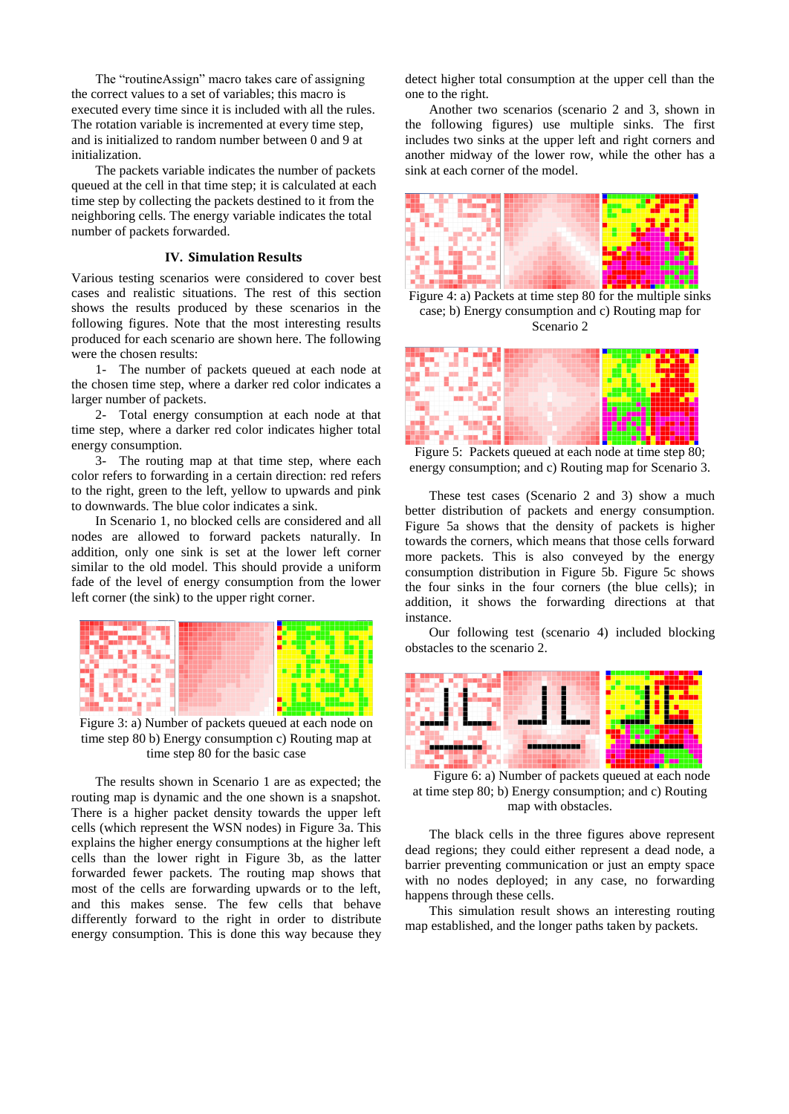The "routineAssign" macro takes care of assigning the correct values to a set of variables; this macro is executed every time since it is included with all the rules. The rotation variable is incremented at every time step, and is initialized to random number between 0 and 9 at initialization.

The packets variable indicates the number of packets queued at the cell in that time step; it is calculated at each time step by collecting the packets destined to it from the neighboring cells. The energy variable indicates the total number of packets forwarded.

## **IV. Simulation Results**

Various testing scenarios were considered to cover best cases and realistic situations. The rest of this section shows the results produced by these scenarios in the following figures. Note that the most interesting results produced for each scenario are shown here. The following were the chosen results:

1- The number of packets queued at each node at the chosen time step, where a darker red color indicates a larger number of packets.

2- Total energy consumption at each node at that time step, where a darker red color indicates higher total energy consumption.

3- The routing map at that time step, where each color refers to forwarding in a certain direction: red refers to the right, green to the left, yellow to upwards and pink to downwards. The blue color indicates a sink.

In Scenario 1, no blocked cells are considered and all nodes are allowed to forward packets naturally. In addition, only one sink is set at the lower left corner similar to the old model. This should provide a uniform fade of the level of energy consumption from the lower left corner (the sink) to the upper right corner.



Figure 3: a) Number of packets queued at each node on time step 80 b) Energy consumption c) Routing map at time step 80 for the basic case

The results shown in Scenario 1 are as expected; the routing map is dynamic and the one shown is a snapshot. There is a higher packet density towards the upper left cells (which represent the WSN nodes) in Figure 3a. This explains the higher energy consumptions at the higher left cells than the lower right in Figure 3b, as the latter forwarded fewer packets. The routing map shows that most of the cells are forwarding upwards or to the left, and this makes sense. The few cells that behave differently forward to the right in order to distribute energy consumption. This is done this way because they

detect higher total consumption at the upper cell than the one to the right.

Another two scenarios (scenario 2 and 3, shown in the following figures) use multiple sinks. The first includes two sinks at the upper left and right corners and another midway of the lower row, while the other has a sink at each corner of the model.



Figure 4: a) Packets at time step 80 for the multiple sinks case; b) Energy consumption and c) Routing map for Scenario 2



Figure 5: Packets queued at each node at time step 80; energy consumption; and c) Routing map for Scenario 3.

These test cases (Scenario 2 and 3) show a much better distribution of packets and energy consumption. Figure 5a shows that the density of packets is higher towards the corners, which means that those cells forward more packets. This is also conveyed by the energy consumption distribution in Figure 5b. Figure 5c shows the four sinks in the four corners (the blue cells); in addition, it shows the forwarding directions at that instance.

Our following test (scenario 4) included blocking obstacles to the scenario 2.



Figure 6: a) Number of packets queued at each node at time step 80; b) Energy consumption; and c) Routing map with obstacles.

The black cells in the three figures above represent dead regions; they could either represent a dead node, a barrier preventing communication or just an empty space with no nodes deployed; in any case, no forwarding happens through these cells.

This simulation result shows an interesting routing map established, and the longer paths taken by packets.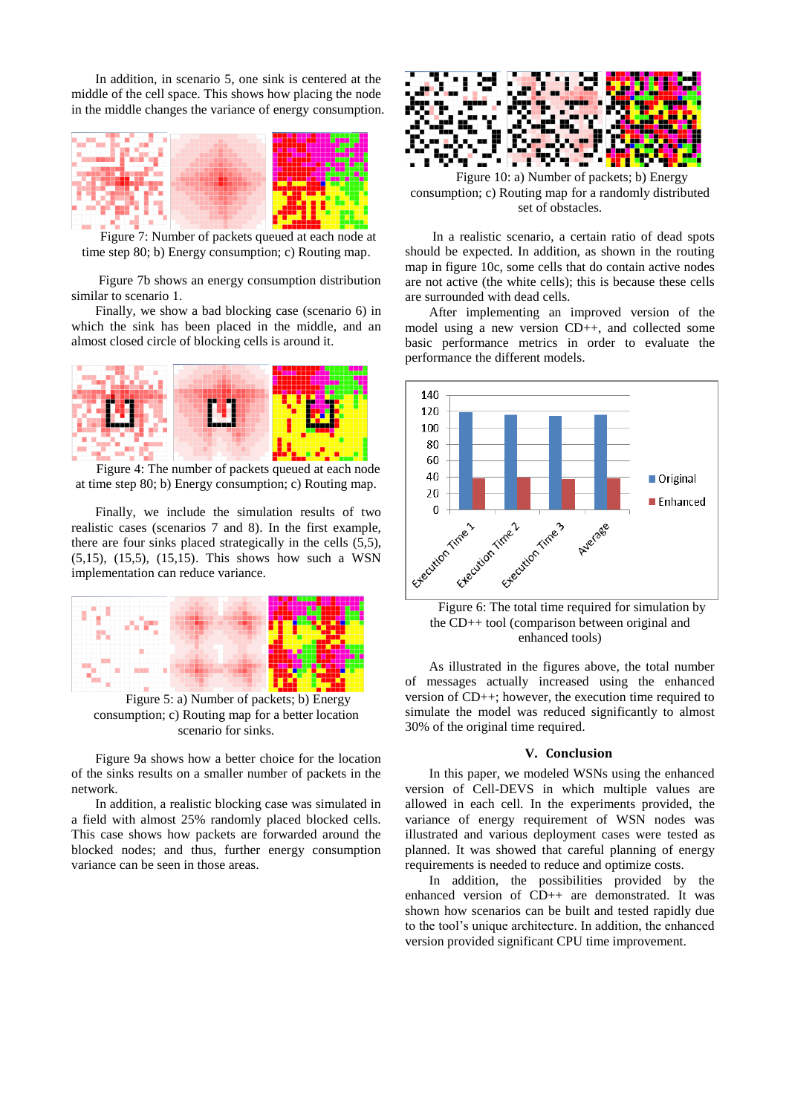In addition, in scenario 5, one sink is centered at the middle of the cell space. This shows how placing the node in the middle changes the variance of energy consumption.



Figure 7: Number of packets queued at each node at time step 80; b) Energy consumption; c) Routing map.

Figure 7b shows an energy consumption distribution similar to scenario 1.

Finally, we show a bad blocking case (scenario 6) in which the sink has been placed in the middle, and an almost closed circle of blocking cells is around it.



Figure 4: The number of packets queued at each node at time step 80; b) Energy consumption; c) Routing map.

Finally, we include the simulation results of two realistic cases (scenarios 7 and 8). In the first example, there are four sinks placed strategically in the cells (5,5), (5,15), (15,5), (15,15). This shows how such a WSN implementation can reduce variance.



Figure 5: a) Number of packets; b) Energy consumption; c) Routing map for a better location scenario for sinks.

Figure 9a shows how a better choice for the location of the sinks results on a smaller number of packets in the network.

In addition, a realistic blocking case was simulated in a field with almost 25% randomly placed blocked cells. This case shows how packets are forwarded around the blocked nodes; and thus, further energy consumption variance can be seen in those areas.



Figure 10: a) Number of packets; b) Energy consumption; c) Routing map for a randomly distributed set of obstacles.

In a realistic scenario, a certain ratio of dead spots should be expected. In addition, as shown in the routing map in figure 10c, some cells that do contain active nodes are not active (the white cells); this is because these cells are surrounded with dead cells.

After implementing an improved version of the model using a new version CD++, and collected some basic performance metrics in order to evaluate the performance the different models.



the CD++ tool (comparison between original and enhanced tools)

As illustrated in the figures above, the total number of messages actually increased using the enhanced version of CD++; however, the execution time required to simulate the model was reduced significantly to almost 30% of the original time required.

#### **V. Conclusion**

In this paper, we modeled WSNs using the enhanced version of Cell-DEVS in which multiple values are allowed in each cell. In the experiments provided, the variance of energy requirement of WSN nodes was illustrated and various deployment cases were tested as planned. It was showed that careful planning of energy requirements is needed to reduce and optimize costs.

In addition, the possibilities provided by the enhanced version of CD++ are demonstrated. It was shown how scenarios can be built and tested rapidly due to the tool's unique architecture. In addition, the enhanced version provided significant CPU time improvement.